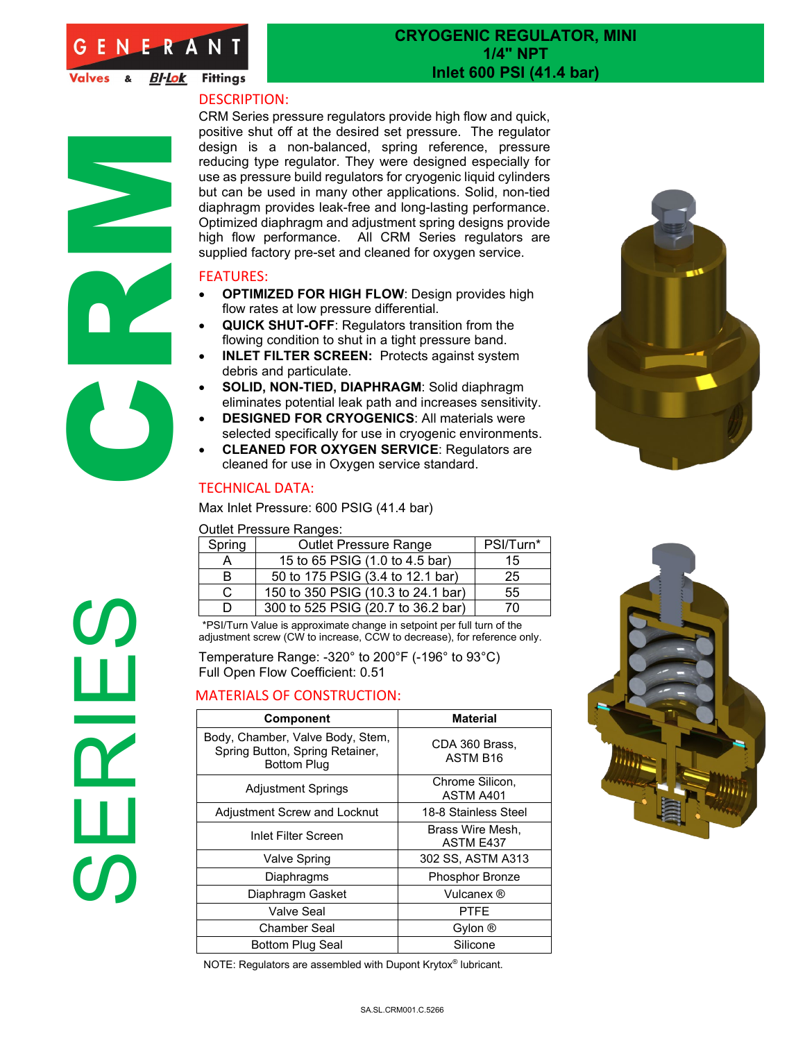

Valves & **BI-Lok** Fittings

SERIES CA

## **CRYOGENIC REGULATOR, MINI 1/4" NPT Inlet 600 PSI (41.4 bar)**

## DESCRIPTION:

CRM Series pressure regulators provide high flow and quick, positive shut off at the desired set pressure. The regulator design is a non-balanced, spring reference, pressure reducing type regulator. They were designed especially for use as pressure build regulators for cryogenic liquid cylinders but can be used in many other applications. Solid, non-tied diaphragm provides leak-free and long-lasting performance. Optimized diaphragm and adjustment spring designs provide high flow performance. All CRM Series regulators are supplied factory pre-set and cleaned for oxygen service.

## FEATURES:

- **OPTIMIZED FOR HIGH FLOW**: Design provides high flow rates at low pressure differential.
- **QUICK SHUT-OFF**: Regulators transition from the flowing condition to shut in a tight pressure band.
- **INLET FILTER SCREEN:** Protects against system debris and particulate.
- **SOLID, NON-TIED, DIAPHRAGM**: Solid diaphragm eliminates potential leak path and increases sensitivity.
- **DESIGNED FOR CRYOGENICS**: All materials were selected specifically for use in cryogenic environments.
- **CLEANED FOR OXYGEN SERVICE**: Regulators are cleaned for use in Oxygen service standard.

## TECHNICAL DATA:

Max Inlet Pressure: 600 PSIG (41.4 bar)

Outlet Pressure Ranges:

| Spring | <b>Outlet Pressure Range</b>       | PSI/Turn* |  |
|--------|------------------------------------|-----------|--|
|        | 15 to 65 PSIG (1.0 to 4.5 bar)     | 15        |  |
| R      | 50 to 175 PSIG (3.4 to 12.1 bar)   | 25        |  |
| C      | 150 to 350 PSIG (10.3 to 24.1 bar) | 55        |  |
|        | 300 to 525 PSIG (20.7 to 36.2 bar) | 70        |  |

D | 300 to 525 PSIG (20.7 to 36.2 bar) | 70<br>\*PSI/Turn Value is approximate change in setpoint per full turn of the adjustment screw (CW to increase, CCW to decrease), for reference only.

Temperature Range: -320° to 200°F (-196° to 93°C) Full Open Flow Coefficient: 0.51

## MATERIALS OF CONSTRUCTION:

| <b>Component</b>                                                                          | <b>Material</b>                        |
|-------------------------------------------------------------------------------------------|----------------------------------------|
| Body, Chamber, Valve Body, Stem,<br>Spring Button, Spring Retainer,<br><b>Bottom Plug</b> | CDA 360 Brass,<br>ASTM B <sub>16</sub> |
| <b>Adjustment Springs</b>                                                                 | Chrome Silicon,<br>ASTM A401           |
| <b>Adjustment Screw and Locknut</b>                                                       | 18-8 Stainless Steel                   |
| Inlet Filter Screen                                                                       | Brass Wire Mesh.<br><b>ASTM E437</b>   |
| <b>Valve Spring</b>                                                                       | 302 SS, ASTM A313                      |
| Diaphragms                                                                                | <b>Phosphor Bronze</b>                 |
| Diaphragm Gasket                                                                          | Vulcanex ®                             |
| Valve Seal                                                                                | PTFF                                   |
| Chamber Seal                                                                              | Gylon <sup>®</sup>                     |
| Bottom Plug Seal                                                                          | Silicone                               |

NOTE: Regulators are assembled with Dupont Krytox® lubricant.